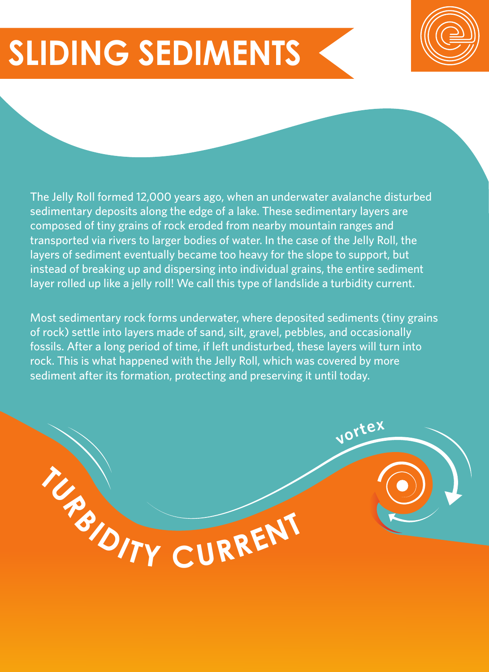## **SLIDING SEDIMENTS**



The Jelly Roll formed 12,000 years ago, when an underwater avalanche disturbed sedimentary deposits along the edge of a lake. These sedimentary layers are composed of tiny grains of rock eroded from nearby mountain ranges and transported via rivers to larger bodies of water. In the case of the Jelly Roll, the layers of sediment eventually became too heavy for the slope to support, but instead of breaking up and dispersing into individual grains, the entire sediment layer rolled up like a jelly roll! We call this type of landslide a turbidity current.

Most sedimentary rock forms underwater, where deposited sediments (tiny grains of rock) settle into layers made of sand, silt, gravel, pebbles, and occasionally fossils. After a long period of time, if left undisturbed, these layers will turn into rock. This is what happened with the Jelly Roll, which was covered by more sediment after its formation, protecting and preserving it until today.